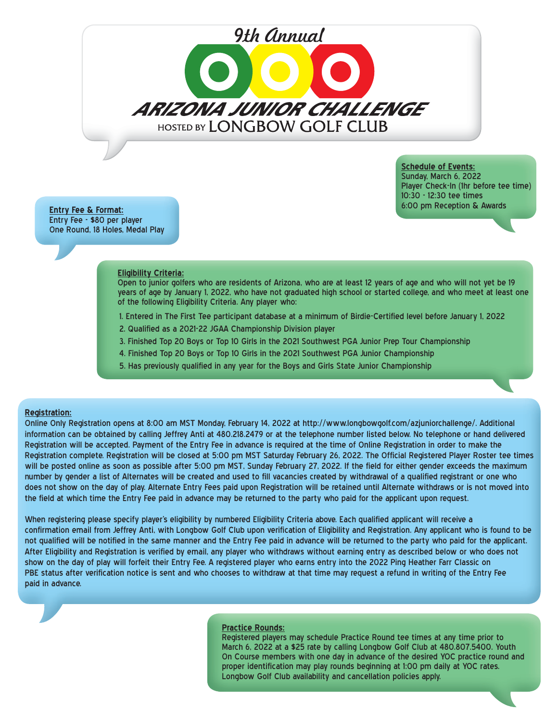# *9th Annual*

ARIZONA JUNIOR CHALLENGE HOSTED BY LONGBOW GOLF CLUB

> **Schedule of Events:** Sunday, March 6, 2022 Player Check-In (1hr before tee time) 10:30 - 12:30 tee times 6:00 pm Reception & Awards

**Entry Fee & Format:** Entry Fee - \$80 per player One Round, 18 Holes, Medal Play

#### **Eligibility Criteria:**

Open to junior golfers who are residents of Arizona, who are at least 12 years of age and who will not yet be 19 years of age by January 1, 2022, who have not graduated high school or started college, and who meet at least one of the following Eligibility Criteria. Any player who:

- 1. Entered in The First Tee participant database at a minimum of Birdie-Certified level before January 1, 2022
- 2. Qualified as a 2021-22 JGAA Championship Division player
- 3. Finished Top 20 Boys or Top 10 Girls in the 2021 Southwest PGA Junior Prep Tour Championship
- 4. Finished Top 20 Boys or Top 10 Girls in the 2021 Southwest PGA Junior Championship
- 5. Has previously qualified in any year for the Boys and Girls State Junior Championship

## **Registration:**

Online Only Registration opens at 8:00 am MST Monday, February 14, 2022 at http://www.longbowgolf.com/azjuniorchallenge/. Additional information can be obtained by calling Jeffrey Anti at 480.218.2479 or at the telephone number listed below. No telephone or hand delivered Registration will be accepted. Payment of the Entry Fee in advance is required at the time of Online Registration in order to make the Registration complete. Registration will be closed at 5:00 pm MST Saturday February 26, 2022. The Official Registered Player Roster tee times will be posted online as soon as possible after 5:00 pm MST, Sunday February 27, 2022. If the field for either gender exceeds the maximum number by gender a list of Alternates will be created and used to fill vacancies created by withdrawal of a qualified registrant or one who does not show on the day of play. Alternate Entry Fees paid upon Registration will be retained until Alternate withdraws or is not moved into the field at which time the Entry Fee paid in advance may be returned to the party who paid for the applicant upon request.

When registering please specify player's eligibility by numbered Eligibility Criteria above. Each qualified applicant will receive a confirmation email from Jeffrey Anti, with Longbow Golf Club upon verification of Eligibility and Registration. Any applicant who is found to be not qualified will be notified in the same manner and the Entry Fee paid in advance will be returned to the party who paid for the applicant. After Eligibility and Registration is verified by email, any player who withdraws without earning entry as described below or who does not show on the day of play will forfeit their Entry Fee. A registered player who earns entry into the 2022 Ping Heather Farr Classic on PBE status after verification notice is sent and who chooses to withdraw at that time may request a refund in writing of the Entry Fee paid in advance.

### **Practice Rounds:**

Registered players may schedule Practice Round tee times at any time prior to March 6, 2022 at a \$25 rate by calling Longbow Golf Club at 480.807.5400. Youth On Course members with one day in advance of the desired YOC practice round and proper identification may play rounds beginning at 1:00 pm daily at YOC rates. Longbow Golf Club availability and cancellation policies apply.